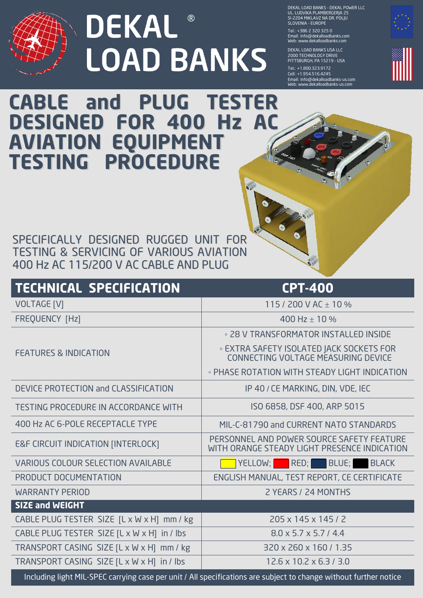

## **DEKAL**® **LOAD BANKS**

DEKAL LOAD BANKS - DEKAL POWER LLC UL. LUDVIKA PLAMBERGERJA 25 SI-2204 MIKLAVZ NA DR. POLJU SLOVENIA - EUROPE

Tel.: + 386 2 320 325 0 Email: info@dekalloadbanks.com Web: www.dekalloadbanks.com

DEKAL LOAD BANKS USA LLC 2000 TECHNOLOGY DRIVE PITTSBURGH, PA 15219 - USA

Tel.: +1.800.323.9172 Cell: + 1.954.516.4245 Email: info@dekalloadbanks-us.com Web: www.dekalloadbanks-us.com



## **CABLE and PLUG TESTER DESIGNED FOR 400 Hz AC AVIATION EQUIPMENT TESTING PROCEDURE**

SPECIFICALLY DESIGNED RUGGED UNIT FOR TESTING & SERVICING OF VARIOUS AVIATION 400 Hz AC 115/200 V AC CABLE AND PLUG

| <b>TECHNICAL SPECIFICATION</b>                | <b>CPT-400</b>                                                                            |
|-----------------------------------------------|-------------------------------------------------------------------------------------------|
| <b>VOLTAGE [V]</b>                            | 115 / 200 V AC $\pm$ 10 %                                                                 |
| FREQUENCY [Hz]                                | 400 Hz $\pm$ 10 %                                                                         |
|                                               | . 28 V TRANSFORMATOR INSTALLED INSIDE                                                     |
| <b>FEATURES &amp; INDICATION</b>              | <b>EXTRA SAFETY ISOLATED JACK SOCKETS FOR</b><br>CONNECTING VOLTAGE MEASURING DEVICE      |
|                                               | • PHASE ROTATION WITH STEADY LIGHT INDICATION                                             |
| DEVICE PROTECTION and CLASSIFICATION          | IP 40 / CE MARKING, DIN, VDE, IEC                                                         |
| <b>TESTING PROCEDURE IN ACCORDANCE WITH</b>   | ISO 6858, DSF 400, ARP 5015                                                               |
| 400 Hz AC 6-POLE RECEPTACLE TYPE              | MIL-C-81790 and CURRENT NATO STANDARDS                                                    |
| <b>E&amp;F CIRCUIT INDICATION [INTERLOCK]</b> | PERSONNEL AND POWER SOURCE SAFETY FEATURE<br>WITH ORANGE STEADY LIGHT PRESENCE INDICATION |
| VARIOUS COLOUR SELECTION AVAILABLE            | YELLOW; RED; BLUE; BLACK                                                                  |
| PRODUCT DOCUMENTATION                         | ENGLISH MANUAL, TEST REPORT, CE CERTIFICATE                                               |
| <b>WARRANTY PERIOD</b>                        | 2 YEARS / 24 MONTHS                                                                       |
| <b>SIZE and WEIGHT</b>                        |                                                                                           |
| CABLE PLUG TESTER SIZE [L x W x H] mm / kg    | 205 x 145 x 145 / 2                                                                       |
| CABLE PLUG TESTER SIZE [L x W x H] in / lbs   | $8.0 \times 5.7 \times 5.7 / 4.4$                                                         |
| TRANSPORT CASING SIZE [L x W x H] mm / kg     | 320 x 260 x 160 / 1.35                                                                    |
| TRANSPORT CASING SIZE [L x W x H] in / lbs    | $12.6 \times 10.2 \times 6.3 / 3.0$                                                       |

Including light MIL-SPEC carrying case per unit / All specifications are subject to change without further notice